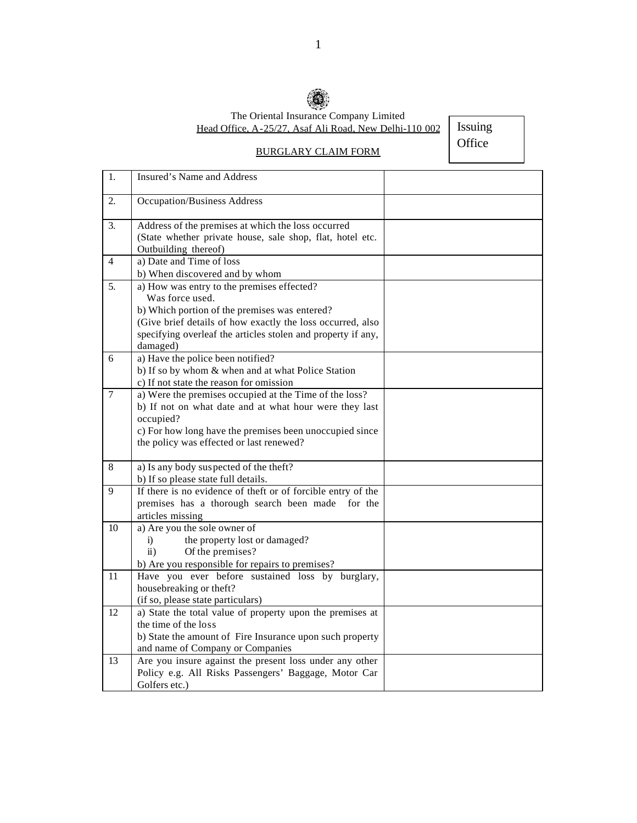

The Oriental Insurance Company Limited Head Office, A-25/27, Asaf Ali Road, New Delhi-110 002

Issuing **Office** 

## BURGLARY CLAIM FORM

1. Insured's Name and Address 2. Occupation/Business Address 3. Address of the premises at which the loss occurred (State whether private house, sale shop, flat, hotel etc. Outbuilding thereof) 4 a) Date and Time of loss b) When discovered and by whom 5. a) How was entry to the premises effected? Was force used. b) Which portion of the premises was entered? (Give brief details of how exactly the loss occurred, also specifying overleaf the articles stolen and property if any, damaged) 6 a) Have the police been notified? b) If so by whom & when and at what Police Station c) If not state the reason for omission 7 a) Were the premises occupied at the Time of the loss? b) If not on what date and at what hour were they last occupied? c) For how long have the premises been unoccupied since the policy was effected or last renewed? 8 a) Is any body suspected of the theft? b) If so please state full details. 9 If there is no evidence of theft or of forcible entry of the premises has a thorough search been made for the articles missing 10 a) Are you the sole owner of i) the property lost or damaged? ii) Of the premises? b) Are you responsible for repairs to premises? 11 Have you ever before sustained loss by burglary, housebreaking or theft? (if so, please state particulars) 12 a) State the total value of property upon the premises at the time of the loss b) State the amount of Fire Insurance upon such property and name of Company or Companies 13 Are you insure against the present loss under any other Policy e.g. All Risks Passengers' Baggage, Motor Car Golfers etc.)